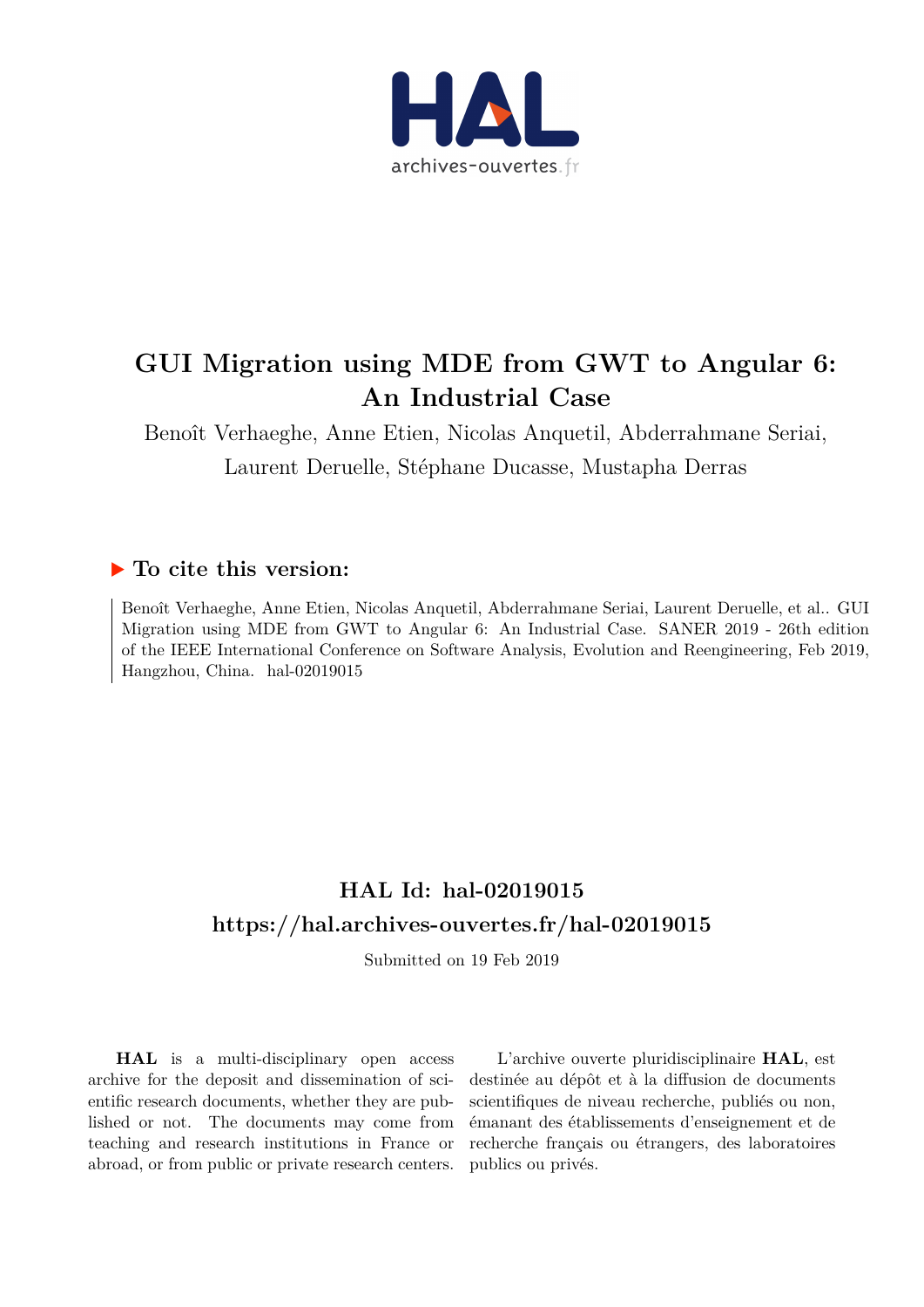

# **GUI Migration using MDE from GWT to Angular 6: An Industrial Case**

Benoît Verhaeghe, Anne Etien, Nicolas Anquetil, Abderrahmane Seriai, Laurent Deruelle, Stéphane Ducasse, Mustapha Derras

### **To cite this version:**

Benoît Verhaeghe, Anne Etien, Nicolas Anquetil, Abderrahmane Seriai, Laurent Deruelle, et al.. GUI Migration using MDE from GWT to Angular 6: An Industrial Case. SANER 2019 - 26th edition of the IEEE International Conference on Software Analysis, Evolution and Reengineering, Feb 2019, Hangzhou, China. hal-02019015

## **HAL Id: hal-02019015 <https://hal.archives-ouvertes.fr/hal-02019015>**

Submitted on 19 Feb 2019

**HAL** is a multi-disciplinary open access archive for the deposit and dissemination of scientific research documents, whether they are published or not. The documents may come from teaching and research institutions in France or abroad, or from public or private research centers.

L'archive ouverte pluridisciplinaire **HAL**, est destinée au dépôt et à la diffusion de documents scientifiques de niveau recherche, publiés ou non, émanant des établissements d'enseignement et de recherche français ou étrangers, des laboratoires publics ou privés.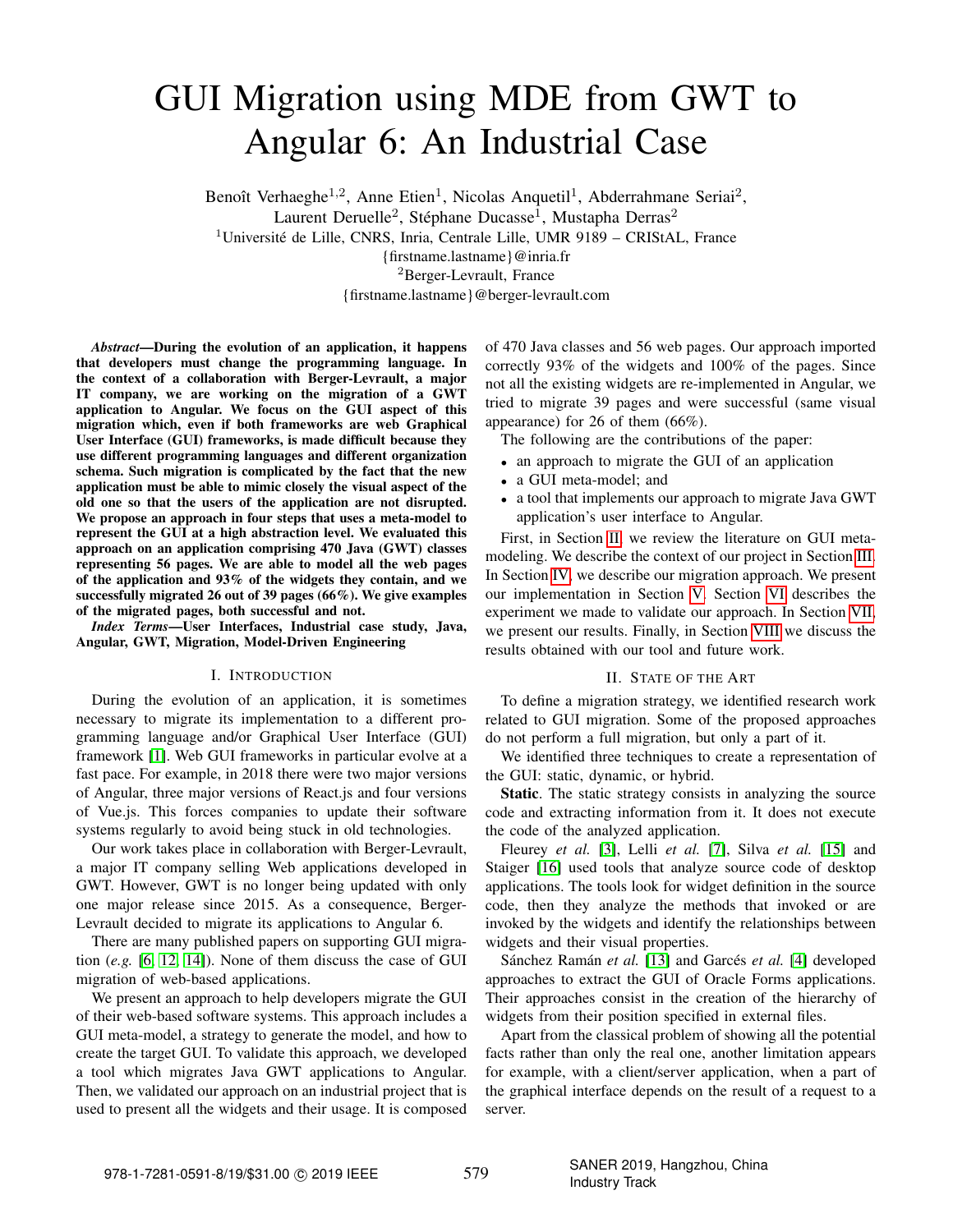# GUI Migration using MDE from GWT to Angular 6: An Industrial Case

Benoît Verhaeghe<sup>1,2</sup>, Anne Etien<sup>1</sup>, Nicolas Anquetil<sup>1</sup>, Abderrahmane Seriai<sup>2</sup>, Laurent Deruelle<sup>2</sup>, Stéphane Ducasse<sup>1</sup>, Mustapha Derras<sup>2</sup> <sup>1</sup>Université de Lille, CNRS, Inria, Centrale Lille, UMR 9189 – CRIStAL, France {firstname.lastname}@inria.fr <sup>2</sup>Berger-Levrault, France

{firstname.lastname}@berger-levrault.com

*Abstract*—During the evolution of an application, it happens that developers must change the programming language. In the context of a collaboration with Berger-Levrault, a major IT company, we are working on the migration of a GWT application to Angular. We focus on the GUI aspect of this migration which, even if both frameworks are web Graphical User Interface (GUI) frameworks, is made difficult because they use different programming languages and different organization schema. Such migration is complicated by the fact that the new application must be able to mimic closely the visual aspect of the old one so that the users of the application are not disrupted. We propose an approach in four steps that uses a meta-model to represent the GUI at a high abstraction level. We evaluated this approach on an application comprising 470 Java (GWT) classes representing 56 pages. We are able to model all the web pages of the application and 93% of the widgets they contain, and we successfully migrated 26 out of 39 pages (66%). We give examples of the migrated pages, both successful and not.

*Index Terms*—User Interfaces, Industrial case study, Java, Angular, GWT, Migration, Model-Driven Engineering

#### I. INTRODUCTION

During the evolution of an application, it is sometimes necessary to migrate its implementation to a different programming language and/or Graphical User Interface (GUI) framework [\[1\]](#page-5-0). Web GUI frameworks in particular evolve at a fast pace. For example, in 2018 there were two major versions of Angular, three major versions of React.js and four versions of Vue.js. This forces companies to update their software systems regularly to avoid being stuck in old technologies.

Our work takes place in collaboration with Berger-Levrault, a major IT company selling Web applications developed in GWT. However, GWT is no longer being updated with only one major release since 2015. As a consequence, Berger-Levrault decided to migrate its applications to Angular 6.

There are many published papers on supporting GUI migration (*e.g.* [\[6,](#page-5-1) [12,](#page-5-2) [14\]](#page-5-3)). None of them discuss the case of GUI migration of web-based applications.

We present an approach to help developers migrate the GUI of their web-based software systems. This approach includes a GUI meta-model, a strategy to generate the model, and how to create the target GUI. To validate this approach, we developed a tool which migrates Java GWT applications to Angular. Then, we validated our approach on an industrial project that is used to present all the widgets and their usage. It is composed

of 470 Java classes and 56 web pages. Our approach imported correctly 93% of the widgets and 100% of the pages. Since not all the existing widgets are re-implemented in Angular, we tried to migrate 39 pages and were successful (same visual appearance) for 26 of them (66%).

The following are the contributions of the paper:

- an approach to migrate the GUI of an application
- a GUI meta-model; and
- a tool that implements our approach to migrate Java GWT application's user interface to Angular.

First, in Section [II,](#page-1-0) we review the literature on GUI metamodeling. We describe the context of our project in Section [III.](#page-2-0) In Section [IV,](#page-2-1) we describe our migration approach. We present our implementation in Section [V.](#page-3-0) Section [VI](#page-4-0) describes the experiment we made to validate our approach. In Section [VII,](#page-4-1) we present our results. Finally, in Section [VIII](#page-5-4) we discuss the results obtained with our tool and future work.

#### II. STATE OF THE ART

<span id="page-1-0"></span>To define a migration strategy, we identified research work related to GUI migration. Some of the proposed approaches do not perform a full migration, but only a part of it.

We identified three techniques to create a representation of the GUI: static, dynamic, or hybrid.

Static. The static strategy consists in analyzing the source code and extracting information from it. It does not execute the code of the analyzed application.

Fleurey *et al.* [\[3\]](#page-5-5), Lelli *et al.* [\[7\]](#page-5-6), Silva *et al.* [\[15\]](#page-5-7) and Staiger [\[16\]](#page-5-8) used tools that analyze source code of desktop applications. The tools look for widget definition in the source code, then they analyze the methods that invoked or are invoked by the widgets and identify the relationships between widgets and their visual properties.

Sánchez Ramán *et al.* [\[13\]](#page-5-9) and Garcés *et al.* [\[4\]](#page-5-10) developed approaches to extract the GUI of Oracle Forms applications. Their approaches consist in the creation of the hierarchy of widgets from their position specified in external files.

Apart from the classical problem of showing all the potential facts rather than only the real one, another limitation appears for example, with a client/server application, when a part of the graphical interface depends on the result of a request to a server.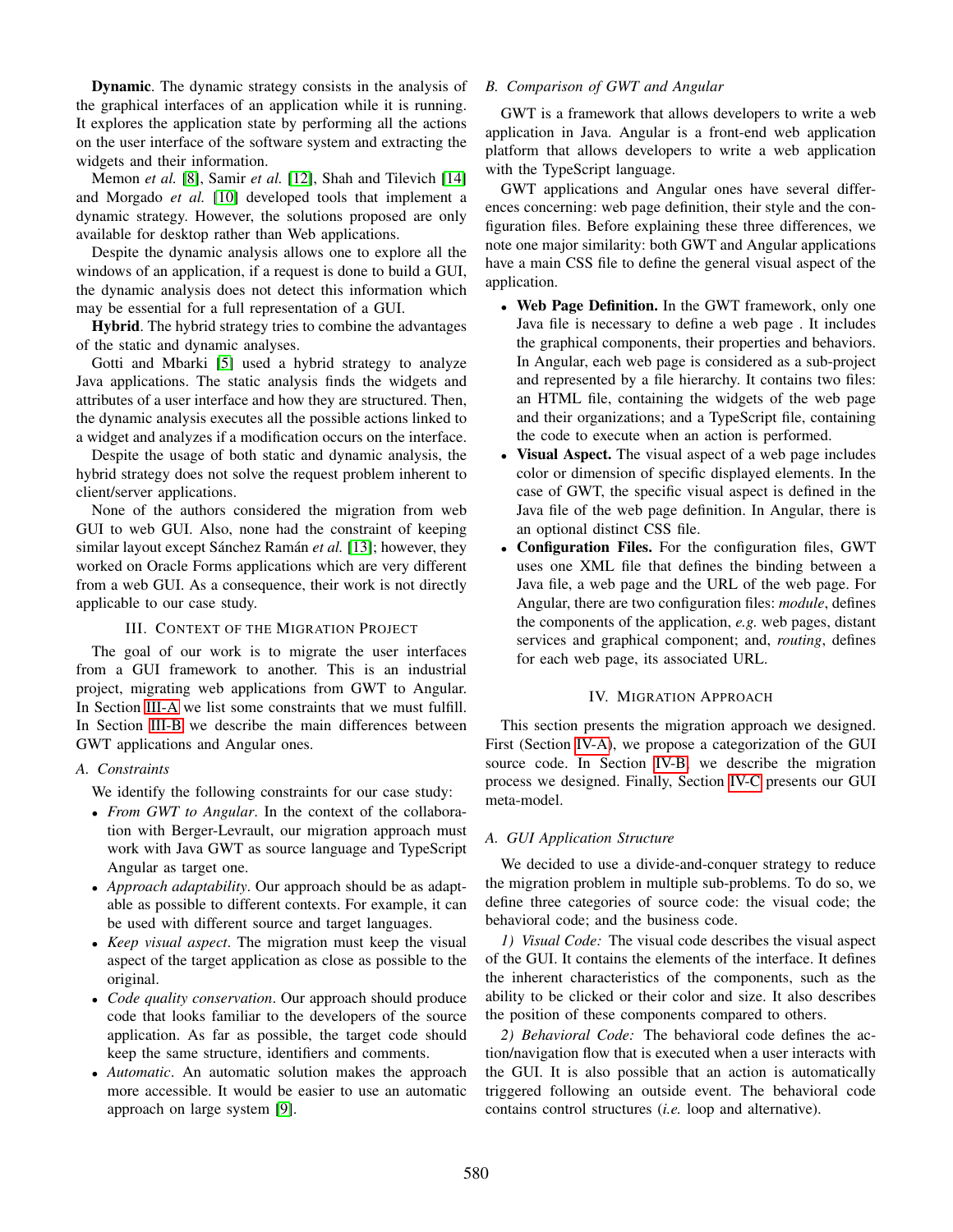Dynamic. The dynamic strategy consists in the analysis of the graphical interfaces of an application while it is running. It explores the application state by performing all the actions on the user interface of the software system and extracting the widgets and their information.

Memon *et al.* [\[8\]](#page-5-11), Samir *et al.* [\[12\]](#page-5-2), Shah and Tilevich [\[14\]](#page-5-3) and Morgado *et al.* [\[10\]](#page-5-12) developed tools that implement a dynamic strategy. However, the solutions proposed are only available for desktop rather than Web applications.

Despite the dynamic analysis allows one to explore all the windows of an application, if a request is done to build a GUI, the dynamic analysis does not detect this information which may be essential for a full representation of a GUI.

Hybrid. The hybrid strategy tries to combine the advantages of the static and dynamic analyses.

Gotti and Mbarki [\[5\]](#page-5-13) used a hybrid strategy to analyze Java applications. The static analysis finds the widgets and attributes of a user interface and how they are structured. Then, the dynamic analysis executes all the possible actions linked to a widget and analyzes if a modification occurs on the interface.

Despite the usage of both static and dynamic analysis, the hybrid strategy does not solve the request problem inherent to client/server applications.

None of the authors considered the migration from web GUI to web GUI. Also, none had the constraint of keeping similar layout except Sánchez Ramán *et al.* [\[13\]](#page-5-9); however, they worked on Oracle Forms applications which are very different from a web GUI. As a consequence, their work is not directly applicable to our case study.

#### III. CONTEXT OF THE MIGRATION PROJECT

<span id="page-2-0"></span>The goal of our work is to migrate the user interfaces from a GUI framework to another. This is an industrial project, migrating web applications from GWT to Angular. In Section [III-A](#page-2-2) we list some constraints that we must fulfill. In Section [III-B](#page-2-3) we describe the main differences between GWT applications and Angular ones.

### <span id="page-2-2"></span>*A. Constraints*

We identify the following constraints for our case study:

- *From GWT to Angular*. In the context of the collaboration with Berger-Levrault, our migration approach must work with Java GWT as source language and TypeScript Angular as target one.
- *Approach adaptability*. Our approach should be as adaptable as possible to different contexts. For example, it can be used with different source and target languages.
- *Keep visual aspect*. The migration must keep the visual aspect of the target application as close as possible to the original.
- *Code quality conservation*. Our approach should produce code that looks familiar to the developers of the source application. As far as possible, the target code should keep the same structure, identifiers and comments.
- *Automatic*. An automatic solution makes the approach more accessible. It would be easier to use an automatic approach on large system [\[9\]](#page-5-14).

#### <span id="page-2-3"></span>*B. Comparison of GWT and Angular*

GWT is a framework that allows developers to write a web application in Java. Angular is a front-end web application platform that allows developers to write a web application with the TypeScript language.

GWT applications and Angular ones have several differences concerning: web page definition, their style and the configuration files. Before explaining these three differences, we note one major similarity: both GWT and Angular applications have a main CSS file to define the general visual aspect of the application.

- Web Page Definition. In the GWT framework, only one Java file is necessary to define a web page . It includes the graphical components, their properties and behaviors. In Angular, each web page is considered as a sub-project and represented by a file hierarchy. It contains two files: an HTML file, containing the widgets of the web page and their organizations; and a TypeScript file, containing the code to execute when an action is performed.
- **Visual Aspect.** The visual aspect of a web page includes color or dimension of specific displayed elements. In the case of GWT, the specific visual aspect is defined in the Java file of the web page definition. In Angular, there is an optional distinct CSS file.
- Configuration Files. For the configuration files, GWT uses one XML file that defines the binding between a Java file, a web page and the URL of the web page. For Angular, there are two configuration files: *module*, defines the components of the application, *e.g.* web pages, distant services and graphical component; and, *routing*, defines for each web page, its associated URL.

#### IV. MIGRATION APPROACH

<span id="page-2-1"></span>This section presents the migration approach we designed. First (Section [IV-A\)](#page-2-4), we propose a categorization of the GUI source code. In Section [IV-B,](#page-3-1) we describe the migration process we designed. Finally, Section [IV-C](#page-3-2) presents our GUI meta-model.

### <span id="page-2-4"></span>*A. GUI Application Structure*

We decided to use a divide-and-conquer strategy to reduce the migration problem in multiple sub-problems. To do so, we define three categories of source code: the visual code; the behavioral code; and the business code.

*1) Visual Code:* The visual code describes the visual aspect of the GUI. It contains the elements of the interface. It defines the inherent characteristics of the components, such as the ability to be clicked or their color and size. It also describes the position of these components compared to others.

*2) Behavioral Code:* The behavioral code defines the action/navigation flow that is executed when a user interacts with the GUI. It is also possible that an action is automatically triggered following an outside event. The behavioral code contains control structures (*i.e.* loop and alternative).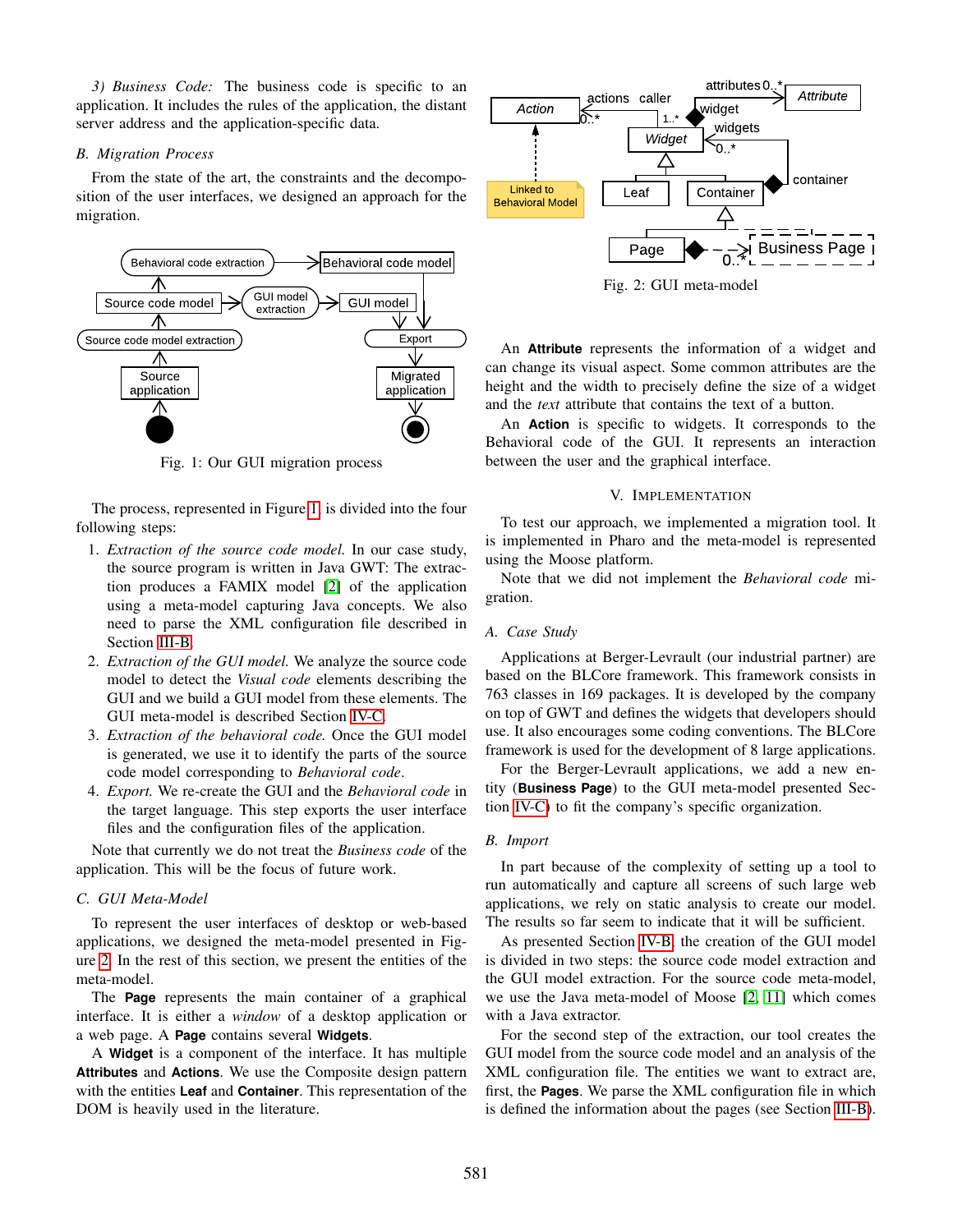*3) Business Code:* The business code is specific to an application. It includes the rules of the application, the distant server address and the application-specific data.

#### <span id="page-3-1"></span>*B. Migration Process*

From the state of the art, the constraints and the decomposition of the user interfaces, we designed an approach for the migration.

<span id="page-3-3"></span>

Fig. 1: Our GUI migration process

The process, represented in Figure [1,](#page-3-3) is divided into the four following steps:

- 1. *Extraction of the source code model.* In our case study, the source program is written in Java GWT: The extraction produces a FAMIX model [\[2\]](#page-5-15) of the application using a meta-model capturing Java concepts. We also need to parse the XML configuration file described in Section [III-B.](#page-2-3)
- 2. *Extraction of the GUI model.* We analyze the source code model to detect the *Visual code* elements describing the GUI and we build a GUI model from these elements. The GUI meta-model is described Section [IV-C.](#page-3-2)
- 3. *Extraction of the behavioral code.* Once the GUI model is generated, we use it to identify the parts of the source code model corresponding to *Behavioral code*.
- 4. *Export.* We re-create the GUI and the *Behavioral code* in the target language. This step exports the user interface files and the configuration files of the application.

Note that currently we do not treat the *Business code* of the application. This will be the focus of future work.

#### <span id="page-3-2"></span>*C. GUI Meta-Model*

To represent the user interfaces of desktop or web-based applications, we designed the meta-model presented in Figure [2.](#page-3-4) In the rest of this section, we present the entities of the meta-model.

The **Page** represents the main container of a graphical interface. It is either a *window* of a desktop application or a web page. A **Page** contains several **Widgets**.

A **Widget** is a component of the interface. It has multiple **Attributes** and **Actions**. We use the Composite design pattern with the entities **Leaf** and **Container**. This representation of the DOM is heavily used in the literature.

<span id="page-3-4"></span>

Fig. 2: GUI meta-model

An **Attribute** represents the information of a widget and can change its visual aspect. Some common attributes are the height and the width to precisely define the size of a widget and the *text* attribute that contains the text of a button.

An **Action** is specific to widgets. It corresponds to the Behavioral code of the GUI. It represents an interaction between the user and the graphical interface.

#### V. IMPLEMENTATION

<span id="page-3-0"></span>To test our approach, we implemented a migration tool. It is implemented in Pharo and the meta-model is represented using the Moose platform.

Note that we did not implement the *Behavioral code* migration.

#### *A. Case Study*

Applications at Berger-Levrault (our industrial partner) are based on the BLCore framework. This framework consists in 763 classes in 169 packages. It is developed by the company on top of GWT and defines the widgets that developers should use. It also encourages some coding conventions. The BLCore framework is used for the development of 8 large applications.

For the Berger-Levrault applications, we add a new entity (**Business Page**) to the GUI meta-model presented Section [IV-C\)](#page-3-2) to fit the company's specific organization.

#### *B. Import*

In part because of the complexity of setting up a tool to run automatically and capture all screens of such large web applications, we rely on static analysis to create our model. The results so far seem to indicate that it will be sufficient.

As presented Section [IV-B,](#page-3-1) the creation of the GUI model is divided in two steps: the source code model extraction and the GUI model extraction. For the source code meta-model, we use the Java meta-model of Moose [\[2,](#page-5-15) [11\]](#page-5-16) which comes with a Java extractor.

For the second step of the extraction, our tool creates the GUI model from the source code model and an analysis of the XML configuration file. The entities we want to extract are, first, the **Pages**. We parse the XML configuration file in which is defined the information about the pages (see Section [III-B\)](#page-2-3).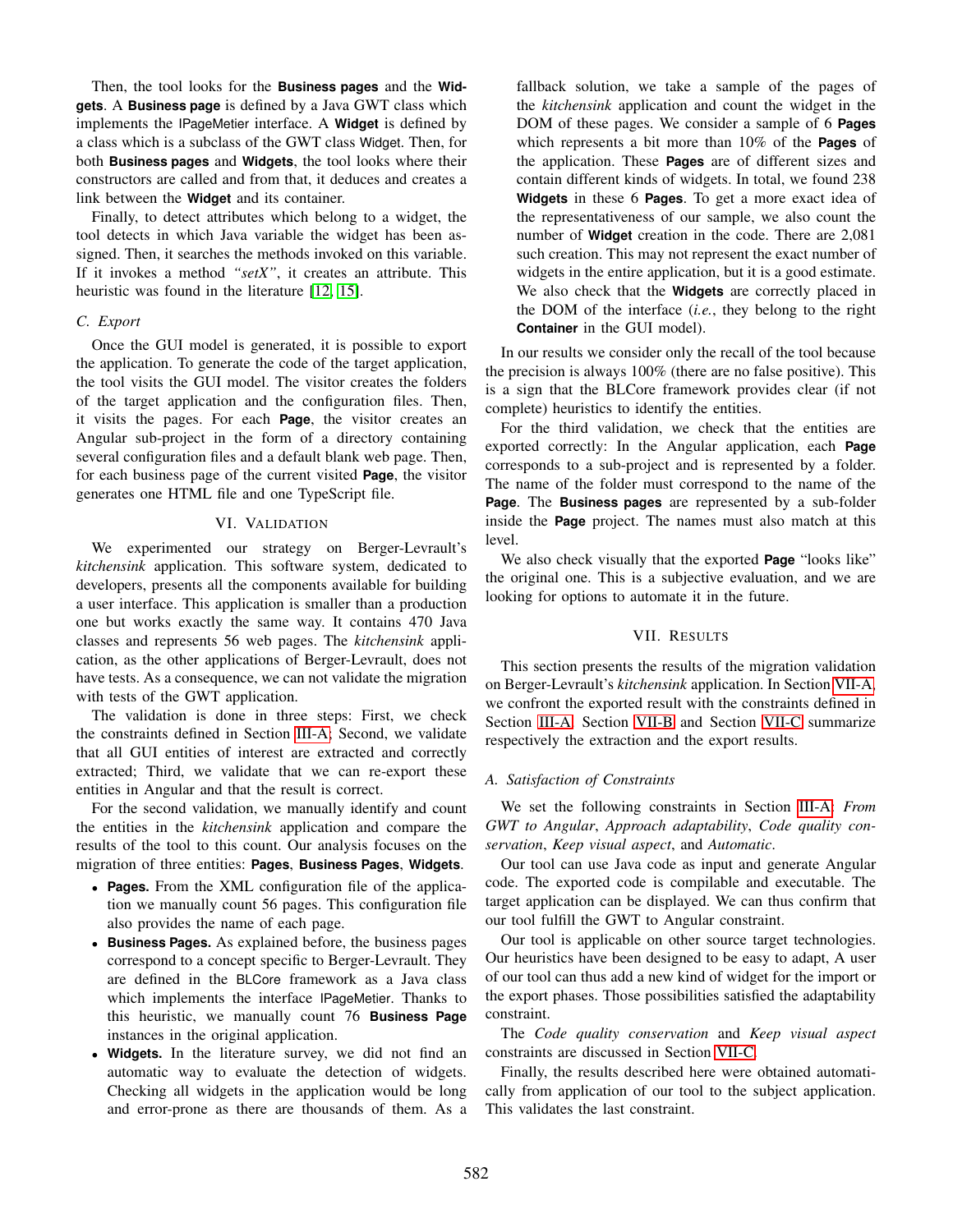Then, the tool looks for the **Business pages** and the **Widgets**. A **Business page** is defined by a Java GWT class which implements the IPageMetier interface. A **Widget** is defined by a class which is a subclass of the GWT class Widget. Then, for both **Business pages** and **Widgets**, the tool looks where their constructors are called and from that, it deduces and creates a link between the **Widget** and its container.

Finally, to detect attributes which belong to a widget, the tool detects in which Java variable the widget has been assigned. Then, it searches the methods invoked on this variable. If it invokes a method *"setX"*, it creates an attribute. This heuristic was found in the literature [\[12,](#page-5-2) [15\]](#page-5-7).

#### *C. Export*

Once the GUI model is generated, it is possible to export the application. To generate the code of the target application, the tool visits the GUI model. The visitor creates the folders of the target application and the configuration files. Then, it visits the pages. For each **Page**, the visitor creates an Angular sub-project in the form of a directory containing several configuration files and a default blank web page. Then, for each business page of the current visited **Page**, the visitor generates one HTML file and one TypeScript file.

#### VI. VALIDATION

<span id="page-4-0"></span>We experimented our strategy on Berger-Levrault's *kitchensink* application. This software system, dedicated to developers, presents all the components available for building a user interface. This application is smaller than a production one but works exactly the same way. It contains 470 Java classes and represents 56 web pages. The *kitchensink* application, as the other applications of Berger-Levrault, does not have tests. As a consequence, we can not validate the migration with tests of the GWT application.

The validation is done in three steps: First, we check the constraints defined in Section [III-A;](#page-2-2) Second, we validate that all GUI entities of interest are extracted and correctly extracted; Third, we validate that we can re-export these entities in Angular and that the result is correct.

For the second validation, we manually identify and count the entities in the *kitchensink* application and compare the results of the tool to this count. Our analysis focuses on the migration of three entities: **Pages**, **Business Pages**, **Widgets**.

- **Pages.** From the XML configuration file of the application we manually count 56 pages. This configuration file also provides the name of each page.
- **Business Pages.** As explained before, the business pages correspond to a concept specific to Berger-Levrault. They are defined in the BLCore framework as a Java class which implements the interface IPageMetier. Thanks to this heuristic, we manually count 76 **Business Page** instances in the original application.
- **Widgets.** In the literature survey, we did not find an automatic way to evaluate the detection of widgets. Checking all widgets in the application would be long and error-prone as there are thousands of them. As a

fallback solution, we take a sample of the pages of the *kitchensink* application and count the widget in the DOM of these pages. We consider a sample of 6 **Pages** which represents a bit more than 10% of the **Pages** of the application. These **Pages** are of different sizes and contain different kinds of widgets. In total, we found 238 **Widgets** in these 6 **Pages**. To get a more exact idea of the representativeness of our sample, we also count the number of **Widget** creation in the code. There are 2,081 such creation. This may not represent the exact number of widgets in the entire application, but it is a good estimate. We also check that the **Widgets** are correctly placed in the DOM of the interface (*i.e.*, they belong to the right **Container** in the GUI model).

In our results we consider only the recall of the tool because the precision is always 100% (there are no false positive). This is a sign that the BLCore framework provides clear (if not complete) heuristics to identify the entities.

For the third validation, we check that the entities are exported correctly: In the Angular application, each **Page** corresponds to a sub-project and is represented by a folder. The name of the folder must correspond to the name of the **Page**. The **Business pages** are represented by a sub-folder inside the **Page** project. The names must also match at this level.

We also check visually that the exported **Page** "looks like" the original one. This is a subjective evaluation, and we are looking for options to automate it in the future.

#### VII. RESULTS

<span id="page-4-1"></span>This section presents the results of the migration validation on Berger-Levrault's *kitchensink* application. In Section [VII-A,](#page-4-2) we confront the exported result with the constraints defined in Section [III-A.](#page-2-2) Section [VII-B](#page-5-17) and Section [VII-C](#page-5-18) summarize respectively the extraction and the export results.

#### <span id="page-4-2"></span>*A. Satisfaction of Constraints*

We set the following constraints in Section [III-A:](#page-2-2) *From GWT to Angular*, *Approach adaptability*, *Code quality conservation*, *Keep visual aspect*, and *Automatic*.

Our tool can use Java code as input and generate Angular code. The exported code is compilable and executable. The target application can be displayed. We can thus confirm that our tool fulfill the GWT to Angular constraint.

Our tool is applicable on other source target technologies. Our heuristics have been designed to be easy to adapt, A user of our tool can thus add a new kind of widget for the import or the export phases. Those possibilities satisfied the adaptability constraint.

The *Code quality conservation* and *Keep visual aspect* constraints are discussed in Section [VII-C.](#page-5-18)

Finally, the results described here were obtained automatically from application of our tool to the subject application. This validates the last constraint.